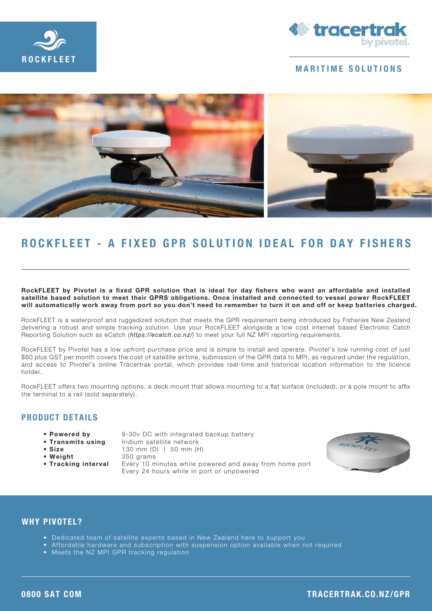



### MARITIME SOLUTIONS



# ROCKFLEET - A FIXED GPR SOLUTION IDEAL FOR DAY FISHERS

RockFLEET by Pivotel is a fixed GPR solution that is ideal for day fishers who want an affordable and installed satellite based solution to meet their GPRS obligations. Once installed and connected to vessel power RockFLEET will automatically work away from port so you don't need to remember to turn it on and off or keep batteries charged.

RockFLEET is a waterproof and ruggedized solution that meets the GPR requirement being introduced by Fisheries New Zealand delivering a robust and simple tracking solution. Use your RockFLEET alongside a low cost internet based Electronic Catch Reporting Solution such as eCatch (*https://ecatch.co.nz/*) to meet your full NZ MPI reporting requirements.

RockFLEET by Pivotel has a low upfront purchase price and is simple to install and operate. Pivotel's low running cost of just \$60 plus GST per month covers the cost of satellite airtime, submission of the GPR data to MPI, as required under the requiation, and access to Pivotel's online Tracertrak portal, which provides real-time and historical location information to the licence holder.

RockFLEET offers two mounting options, a deck mount that allows mounting to a flat surface (included), or a pole mount to affix the terminal to a rail (sold separately).

## PRODUCT DETAILS

- 
- 
- 
- 
- 

• Powered by 9-30v DC with integrated backup battery • Transmits using lridium satellite network • Size 130 mm (D) | 50 mm (H) • Weight 350 grams • Tracking interval Every 10 minutes while powered and away from home port Every 24 hours while in port or unpowered



#### WHY PIVOTFI?

- Dedicated team of satellite experts based in New Zealand here to support you
- Affordable hardware and subscription with suspension option available when not required
- Meets the NZ MPI GPR tracking regulation

#### 0800 SAT COM TRACERTRAK.CO.NZ/GPR